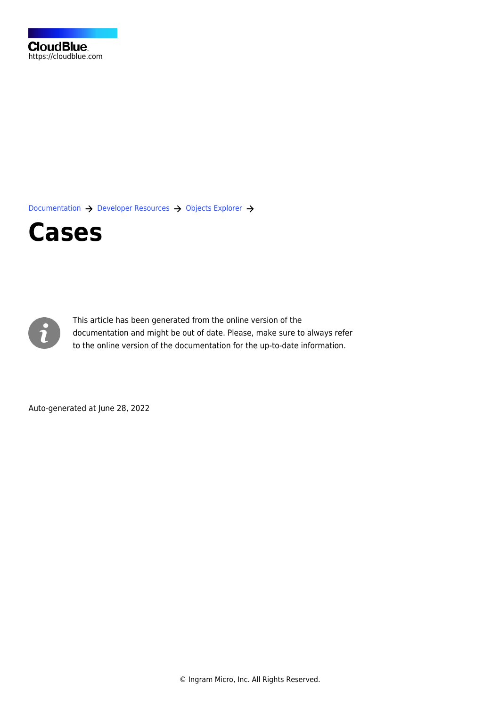[Documentation](https://connect.cloudblue.com/documentation)  $\rightarrow$  [Developer Resources](https://connect.cloudblue.com/community/developers/)  $\rightarrow$  [Objects Explorer](https://connect.cloudblue.com/community/developers/objects/)  $\rightarrow$ 

## **[Cases](https://connect.cloudblue.com/community/developers/objects/cases/)**



This article has been generated from the online version of the documentation and might be out of date. Please, make sure to always refer to the online version of the documentation for the up-to-date information.

Auto-generated at June 28, 2022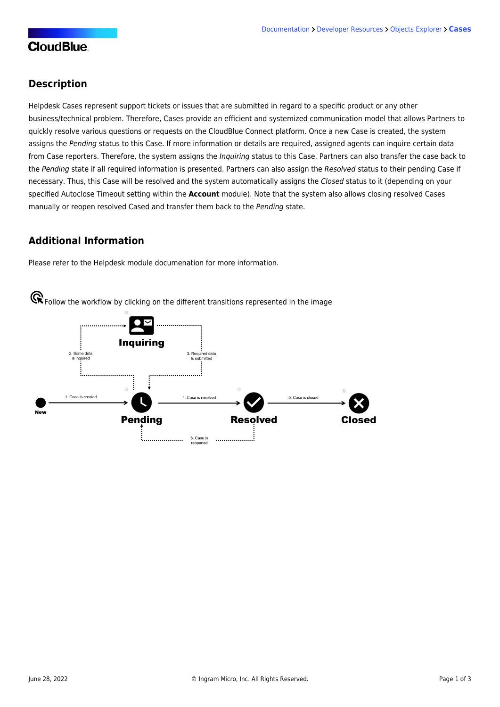## **CloudBlue**

## **Description**

Helpdesk Cases represent support tickets or issues that are submitted in regard to a specific product or any other business/technical problem. Therefore, Cases provide an efficient and systemized communication model that allows Partners to quickly resolve various questions or requests on the CloudBlue Connect platform. Once a new Case is created, the system assigns the Pending status to this Case. If more information or details are required, assigned agents can inquire certain data from Case reporters. Therefore, the system assigns the Inquiring status to this Case. Partners can also transfer the case back to the Pending state if all required information is presented. Partners can also assign the Resolved status to their pending Case if necessary. Thus, this Case will be resolved and the system automatically assigns the Closed status to it (depending on your specified [Autoclose Timeout](https://connect.cloudblue.com/community/modules/account/single-sign-on/azure-active-directory/) setting within the **Account** module). Note that the system also allows closing resolved Cases manually or reopen resolved Cased and transfer them back to the Pending state.

## **Additional Information**

Please refer to the [Helpdesk module](https://connect.cloudblue.com/community/modules/helpdesk/) documenation for more information.

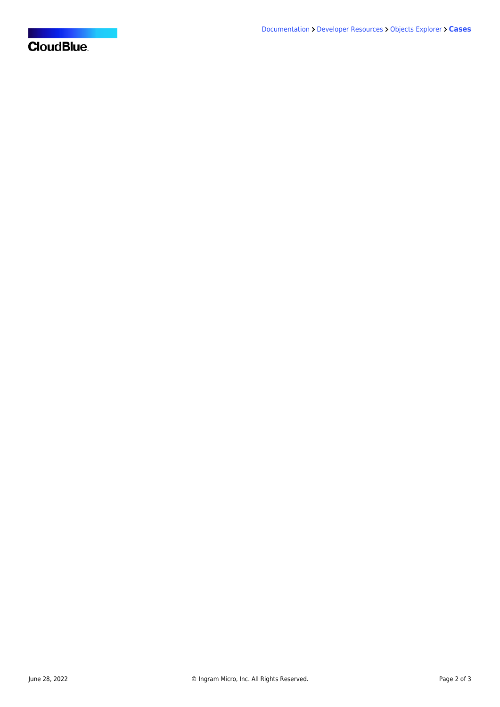**CloudBlue**